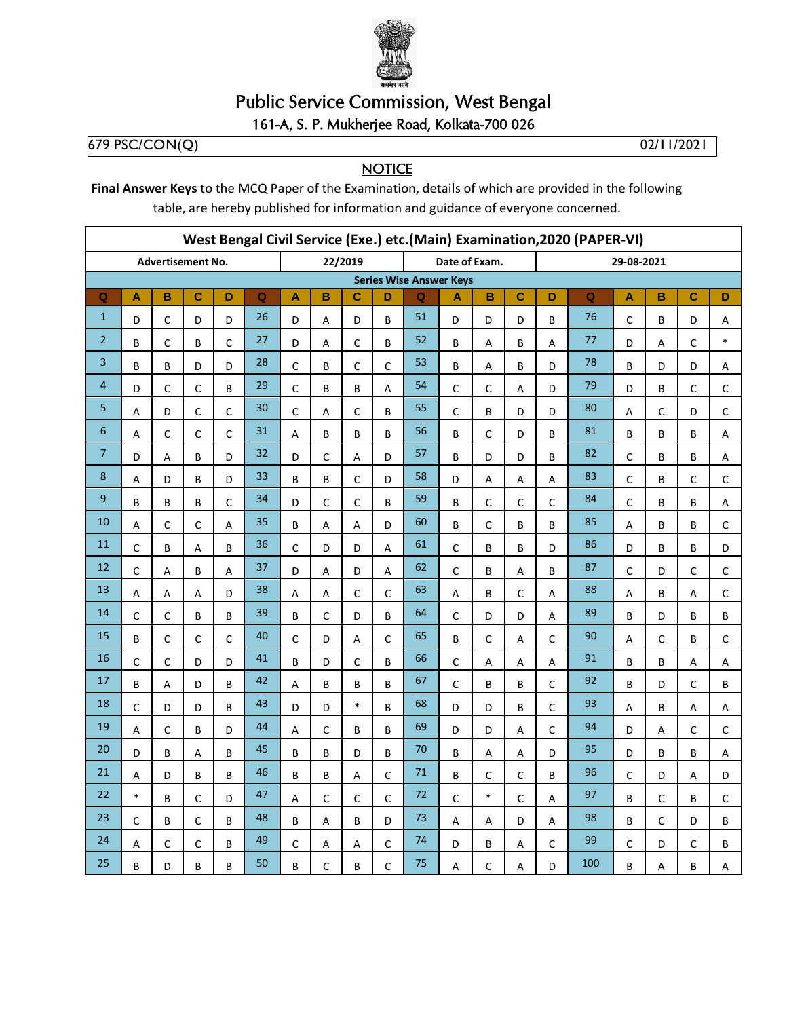

## **Public Service Commission, West Bengal**

## 161-A, S. P. Mukherjee Road, Kolkata-700 026

679 PSC/CON(Q)

02/11/2021

## **NOTICE**

Final Answer Keys to the MCQ Paper of the Examination, details of which are provided in the following table, are hereby published for information and guidance of everyone concerned.

| West Bengal Civil Service (Exe.) etc.(Main) Examination, 2020 (PAPER-VI) |              |              |                          |                           |             |              |                                |         |                           |                         |               |             |              |              |                |                         |             |   |             |  |  |
|--------------------------------------------------------------------------|--------------|--------------|--------------------------|---------------------------|-------------|--------------|--------------------------------|---------|---------------------------|-------------------------|---------------|-------------|--------------|--------------|----------------|-------------------------|-------------|---|-------------|--|--|
|                                                                          |              |              | <b>Advertisement No.</b> |                           |             |              |                                | 22/2019 |                           |                         | Date of Exam. |             |              |              | 29-08-2021     |                         |             |   |             |  |  |
|                                                                          |              |              |                          |                           |             |              | <b>Series Wise Answer Keys</b> |         |                           |                         |               |             |              |              |                |                         |             |   |             |  |  |
| $\mathbf Q$                                                              | A            | в            | C                        | D                         | $\mathbf Q$ | A            | B                              | C       | D                         | $\overline{\mathbf{Q}}$ | A             | B           | C            | D            | $\overline{Q}$ | $\overline{\mathsf{A}}$ | в           | C | D           |  |  |
| $\mathbf{1}$                                                             | D            | $\mathsf C$  | D                        | D                         | 26          | D            | Α                              | D       | B                         | 51                      | D             | D           | D            | B            | 76             | $\mathsf C$             | B           | D | Α           |  |  |
| $\overline{2}$                                                           | В            | $\mathsf C$  | B                        | $\mathsf C$               | 27          | D            | Α                              | С       | B                         | 52                      | В             | $\mathsf A$ | В            | А            | 77             | D                       | Α           | C | $\ast$      |  |  |
| 3                                                                        | B            | B            | D                        | D                         | 28          | $\mathsf{C}$ | B                              | C       | C                         | 53                      | B             | Α           | B            | D            | 78             | B                       | D           | D | Α           |  |  |
| 4                                                                        | D            | C            | C                        | B                         | 29          | C            | B                              | B       | $\boldsymbol{\mathsf{A}}$ | 54                      | $\mathsf C$   | C           | Α            | D            | 79             | D                       | B           | C | $\mathsf C$ |  |  |
| 5                                                                        | Α            | D            | C                        | $\mathsf C$               | 30          | C            | Α                              | C       | B                         | 55                      | $\mathsf C$   | B           | D            | D            | 80             | Α                       | C           | D | C           |  |  |
| 6                                                                        | Α            | C            | $\mathsf C$              | $\mathsf{C}$              | 31          | A            | B                              | B       | B                         | 56                      | B             | C           | D            | B            | 81             | B                       | B           | B | А           |  |  |
| 7                                                                        | D            | A            | B                        | D                         | 32          | D            | C                              | А       | D                         | 57                      | B             | D           | D            | B            | 82             | $\mathsf C$             | B           | B | Α           |  |  |
| 8                                                                        | Α            | D            | B                        | D                         | 33          | B            | В                              | C       | D                         | 58                      | D             | Α           | Α            | Α            | 83             | $\mathsf C$             | B           | С | С           |  |  |
| 9                                                                        | B            | B            | B                        | $\mathsf{C}$              | 34          | D            | C                              | C       | B                         | 59                      | B             | $\mathsf C$ | $\mathsf{C}$ | $\mathsf{C}$ | 84             | $\mathsf{C}$            | B           | B | А           |  |  |
| 10                                                                       | А            | $\mathsf C$  | C                        | Α                         | 35          | B            | Α                              | Α       | D                         | 60                      | B             | $\mathsf C$ | B            | B            | 85             | $\mathsf A$             | B           | B | $\mathsf C$ |  |  |
| 11                                                                       | $\mathsf{C}$ | B            | A                        | B                         | 36          | $\mathsf{C}$ | D                              | D       | A                         | 61                      | $\mathsf C$   | B           | B            | D            | 86             | D                       | B           | B | D           |  |  |
| 12                                                                       | $\mathsf C$  | Α            | B                        | $\boldsymbol{\mathsf{A}}$ | 37          | D            | A                              | D       | $\sf A$                   | 62                      | $\mathsf C$   | B           | A            | B            | 87             | $\mathsf C$             | D           | C | $\mathsf C$ |  |  |
| 13                                                                       | А            | А            | А                        | D                         | 38          | Α            | А                              | C       | C                         | 63                      | $\mathsf A$   | B           | C            | А            | 88             | А                       | B           | Α | $\mathsf C$ |  |  |
| 14                                                                       | $\mathsf{C}$ | C            | B                        | B                         | 39          | B            | C                              | D       | B                         | 64                      | $\mathsf C$   | D           | D            | A            | 89             | B                       | D           | B | B           |  |  |
| 15                                                                       | B            | $\mathsf{C}$ | $\mathsf{C}$             | $\mathsf C$               | 40          | C            | D                              | А       | $\mathsf{C}$              | 65                      | B             | $\mathsf C$ | A            | $\mathsf{C}$ | 90             | A                       | C           | B | $\mathsf C$ |  |  |
| 16                                                                       | C            | $\mathsf C$  | D                        | D                         | 41          | B            | D                              | C       | B                         | 66                      | $\mathsf C$   | Α           | Α            | A            | 91             | B                       | B           | Α | Α           |  |  |
| 17                                                                       | B            | А            | D                        | B                         | 42          | A            | B                              | B       | B                         | 67                      | $\mathsf{C}$  | B           | B            | $\mathsf{C}$ | 92             | B                       | D           | C | B           |  |  |
| 18                                                                       | $\mathsf{C}$ | D            | D                        | B                         | 43          | D            | D                              | $\ast$  | B                         | 68                      | D             | D           | B            | C            | 93             | A                       | B           | A | Α           |  |  |
| 19                                                                       | A            | $\mathsf{C}$ | B                        | D                         | 44          | A            | C                              | B       | B                         | 69                      | D             | D           | Α            | $\mathsf{C}$ | 94             | D                       | Α           | C | $\mathsf C$ |  |  |
| 20                                                                       | D            | B            | А                        | B                         | 45          | B            | B                              | D       | B                         | 70                      | B             | А           | А            | D            | 95             | D                       | B           | B | Α           |  |  |
| 21                                                                       | А            | D            | B                        | B                         | 46          | B            | B                              | А       | C                         | 71                      | B             | С           | C            | B            | 96             | C                       | D           | Α | D           |  |  |
| 22                                                                       | $\ast$       | B            | $\mathsf C$              | D                         | 47          | A            | C                              | C       | C                         | 72                      | $\mathsf C$   | $\ast$      | $\mathsf C$  | A            | 97             | B                       | $\mathsf C$ | B | C           |  |  |
| 23                                                                       | $\mathsf C$  | B            | $\mathsf C$              | B                         | 48          | B            | Α                              | B       | D                         | 73                      | $\mathsf A$   | Α           | D            | Α            | 98             | B                       | C           | D | B           |  |  |
| 24                                                                       | А            | C            | C                        | B                         | 49          | C            | А                              | А       | C                         | 74                      | D             | B           | А            | C            | 99             | C                       | D           | C | B           |  |  |
| 25                                                                       | B            | D            | B                        | B                         | 50          | B            | C                              | B       | $\mathsf{C}$              | 75                      | A             | C           | A            | D            | 100            | B                       | A           | B | Α           |  |  |